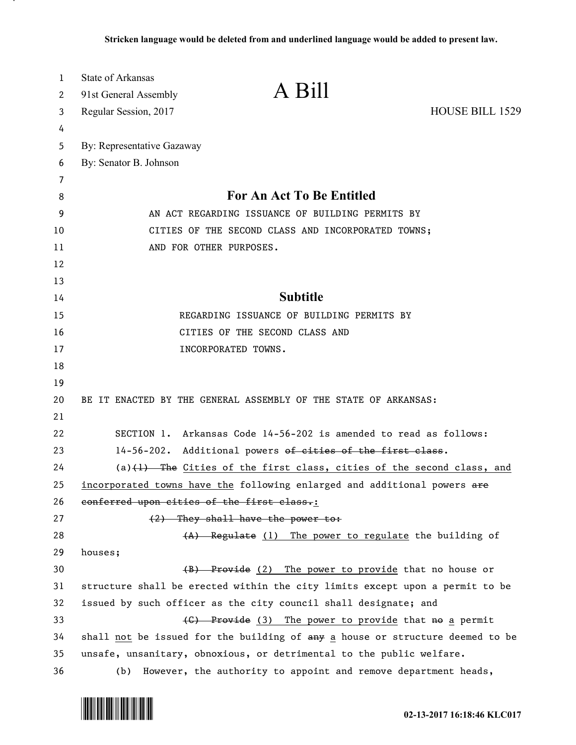| 1  | <b>State of Arkansas</b>                                   | A Bill                                                                        |                        |
|----|------------------------------------------------------------|-------------------------------------------------------------------------------|------------------------|
| 2  | 91st General Assembly                                      |                                                                               |                        |
| 3  | Regular Session, 2017                                      |                                                                               | <b>HOUSE BILL 1529</b> |
| 4  |                                                            |                                                                               |                        |
| 5  | By: Representative Gazaway                                 |                                                                               |                        |
| 6  | By: Senator B. Johnson                                     |                                                                               |                        |
| 7  |                                                            |                                                                               |                        |
| 8  | For An Act To Be Entitled                                  |                                                                               |                        |
| 9  | AN ACT REGARDING ISSUANCE OF BUILDING PERMITS BY           |                                                                               |                        |
| 10 | CITIES OF THE SECOND CLASS AND INCORPORATED TOWNS;         |                                                                               |                        |
| 11 |                                                            | AND FOR OTHER PURPOSES.                                                       |                        |
| 12 |                                                            |                                                                               |                        |
| 13 |                                                            |                                                                               |                        |
| 14 | <b>Subtitle</b>                                            |                                                                               |                        |
| 15 | REGARDING ISSUANCE OF BUILDING PERMITS BY                  |                                                                               |                        |
| 16 | CITIES OF THE SECOND CLASS AND                             |                                                                               |                        |
| 17 |                                                            | INCORPORATED TOWNS.                                                           |                        |
| 18 |                                                            |                                                                               |                        |
| 19 |                                                            |                                                                               |                        |
| 20 |                                                            | BE IT ENACTED BY THE GENERAL ASSEMBLY OF THE STATE OF ARKANSAS:               |                        |
| 21 |                                                            |                                                                               |                        |
| 22 |                                                            | SECTION 1. Arkansas Code 14-56-202 is amended to read as follows:             |                        |
| 23 | 14-56-202. Additional powers of cities of the first class. |                                                                               |                        |
| 24 |                                                            | $(a)$ $(1)$ The Cities of the first class, cities of the second class, and    |                        |
| 25 |                                                            | incorporated towns have the following enlarged and additional powers are      |                        |
| 26 | conferred upon cities of the first class.:                 |                                                                               |                        |
| 27 |                                                            | (2) They shall have the power to:                                             |                        |
| 28 |                                                            | (A) Regulate (1) The power to regulate the building of                        |                        |
| 29 | houses;                                                    |                                                                               |                        |
| 30 |                                                            | (B) Provide (2) The power to provide that no house or                         |                        |
| 31 |                                                            | structure shall be erected within the city limits except upon a permit to be  |                        |
| 32 |                                                            | issued by such officer as the city council shall designate; and               |                        |
| 33 |                                                            | (C) Provide (3) The power to provide that no a permit                         |                        |
| 34 |                                                            | shall not be issued for the building of any a house or structure deemed to be |                        |
| 35 |                                                            | unsafe, unsanitary, obnoxious, or detrimental to the public welfare.          |                        |
| 36 | (b)                                                        | However, the authority to appoint and remove department heads,                |                        |



.